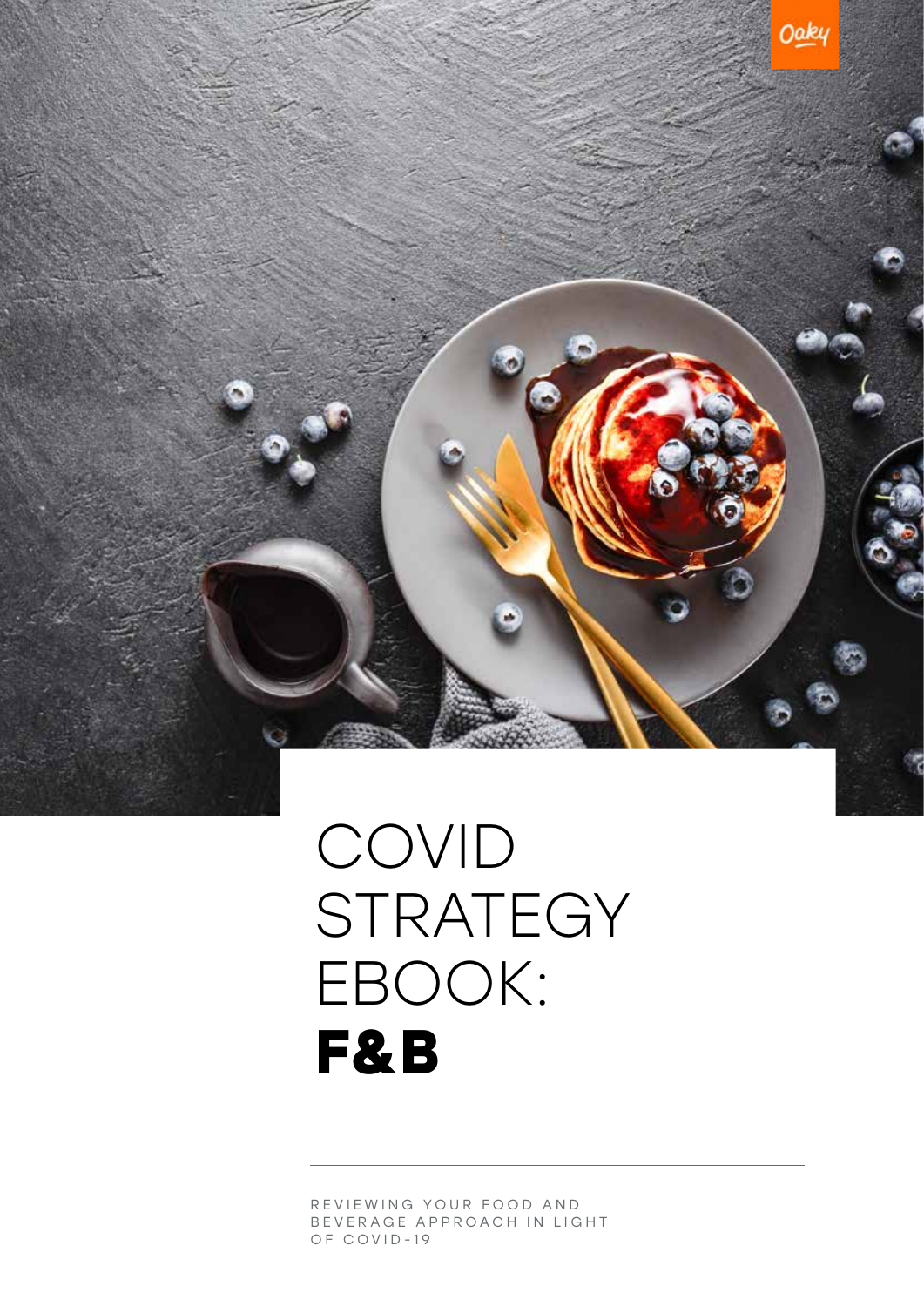REVIEWING YOUR FOOD AND B E V E R A G E A P P R O A C H I N L I G H T OF COVID-19

### COVID STRATEGY EBOOK: **F&B**

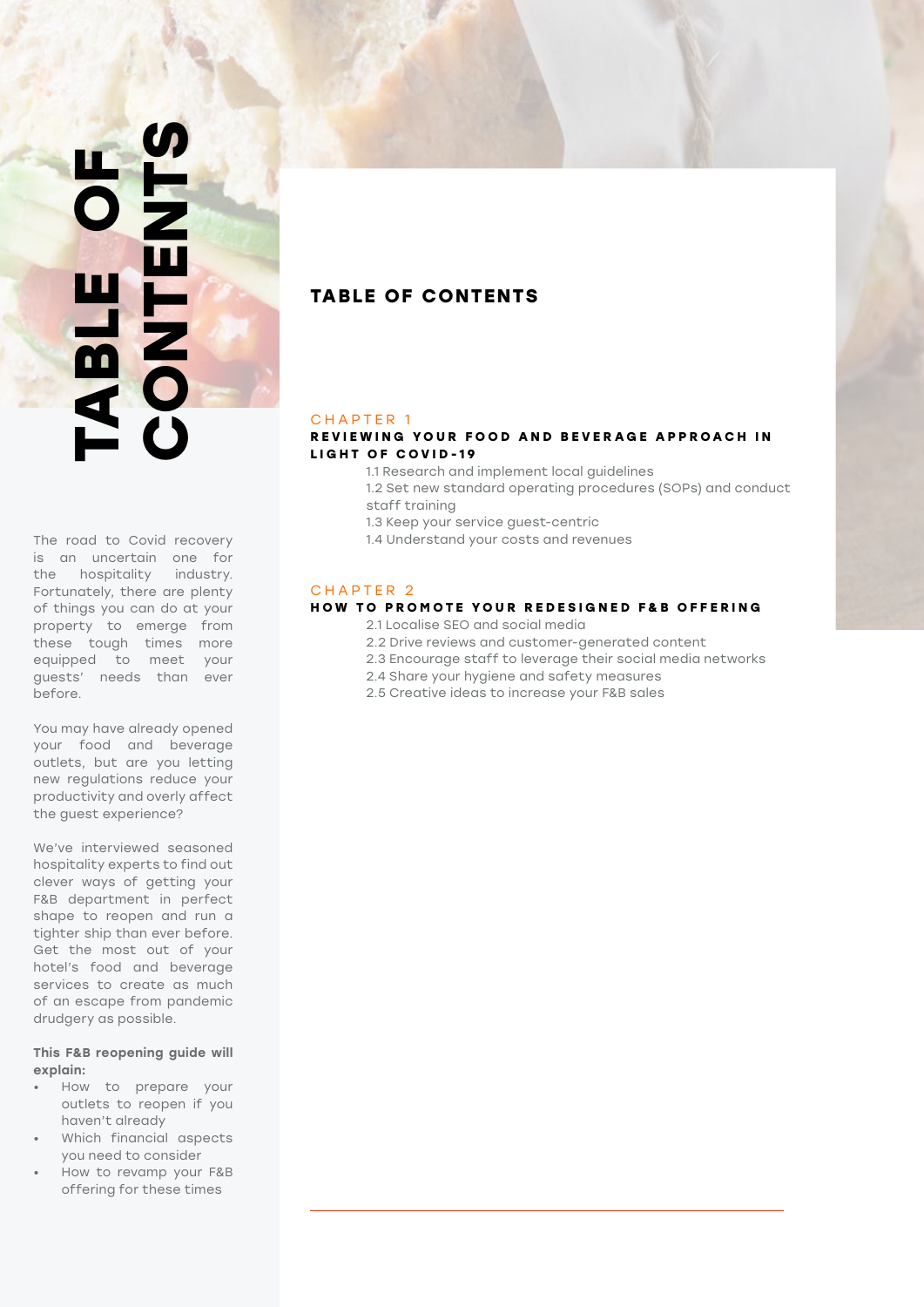### **CONTENTS TABLE OF**  TABLE OF<br>CONTENTS

The road to Covid recovery is an uncertain one for the hospitality industry. Fortunately, there are plenty of things you can do at your property to emerge from these tough times more equipped to meet your guests' needs than ever before.

You may have already opened your food and beverage outlets, but are you letting new regulations reduce your productivity and overly affect the guest experience?

We've interviewed seasoned hospitality experts to find out clever ways of getting your F&B department in perfect shape to reopen and run a tighter ship than ever before. Get the most out of your hotel's food and beverage services to create as much of an escape from pandemic drudgery as possible.

### This F&B reopening guide will explain:

- How to prepare your outlets to reopen if you haven't already
- Which financial aspects you need to consider
- How to revamp your F&B offering for these times

### **TABLE OF CONTENTS**

### CHAPTER 1

### **REVIEWING YOUR FOOD AND BEVERAGE APPROACH IN LIGHT OF COVID-19**

- 1.1 Research and implement local guidelines
- 1.2 Set new standard operating procedures (SOPs) and conduct staff training
- 1.3 Keep your service guest-centric
- 1.4 Understand your costs and revenues

### CHAPTER 2

### **HOW TO PROMOTE YOUR REDESIGNED F&B OFFERING**

- 2.1 Localise SEO and social media
- 2.2 Drive reviews and customer-generated content
- 2.3 Encourage staff to leverage their social media networks
- 2.4 Share your hygiene and safety measures
- 2.5 Creative ideas to increase your F&B sales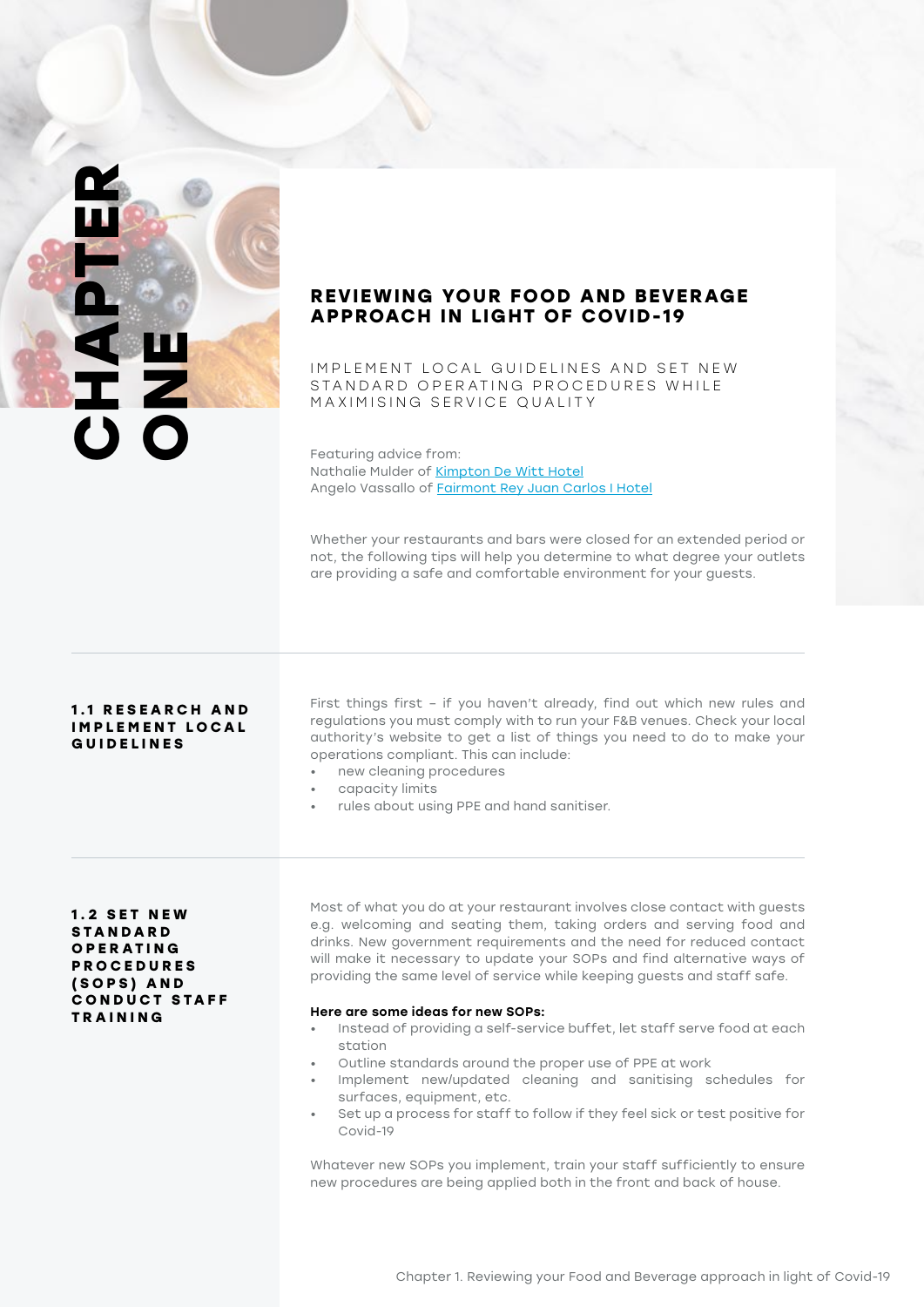### **CHAPTER DEE**

### **REVIEWING YOUR FOOD AND BEVERAGE APPROACH IN LIGHT OF COVID-19**

IMPLEMENT LOCAL GUIDELINES AND SET NEW STANDARD OPERATING PROCEDURES WHILE MAXIMISING SERVICE QUALITY

Featuring advice from: Nathalie Mulder of [Kimpton De Witt Hotel](https://www.kimptondewitthotel.com/us/en/index.html) Angelo Vassallo of [Fairmont Rey Juan Carlos I Hotel](https://www.fairmont.com/barcelona/)

Whether your restaurants and bars were closed for an extended period or not, the following tips will help you determine to what degree your outlets are providing a safe and comfortable environment for your guests.

### **1 . 1 R E S E A R C H A N D IMPLEMENT LOCAL GUIDELINES**

First things first – if you haven't already, find out which new rules and regulations you must comply with to run your F&B venues. Check your local authority's website to get a list of things you need to do to make your operations compliant. This can include:

- new cleaning procedures
- capacity limits
- rules about using PPE and hand sanitiser.

### **1 . 2 S E T N E W S TA N D A R D O P E R AT I N G P R O C E D U R E S ( S O P S ) A N D C O N D U C T S TA F F TRAINING**

Most of what you do at your restaurant involves close contact with guests e.g. welcoming and seating them, taking orders and serving food and drinks. New government requirements and the need for reduced contact will make it necessary to update your SOPs and find alternative ways of providing the same level of service while keeping guests and staff safe.

### Here are some ideas for new SOPs:

- Instead of providing a self-service buffet, let staff serve food at each station
- Outline standards around the proper use of PPE at work
- Implement new/updated cleaning and sanitising schedules for surfaces, equipment, etc.
- Set up a process for staff to follow if they feel sick or test positive for Covid-19

Whatever new SOPs you implement, train your staff sufficiently to ensure new procedures are being applied both in the front and back of house.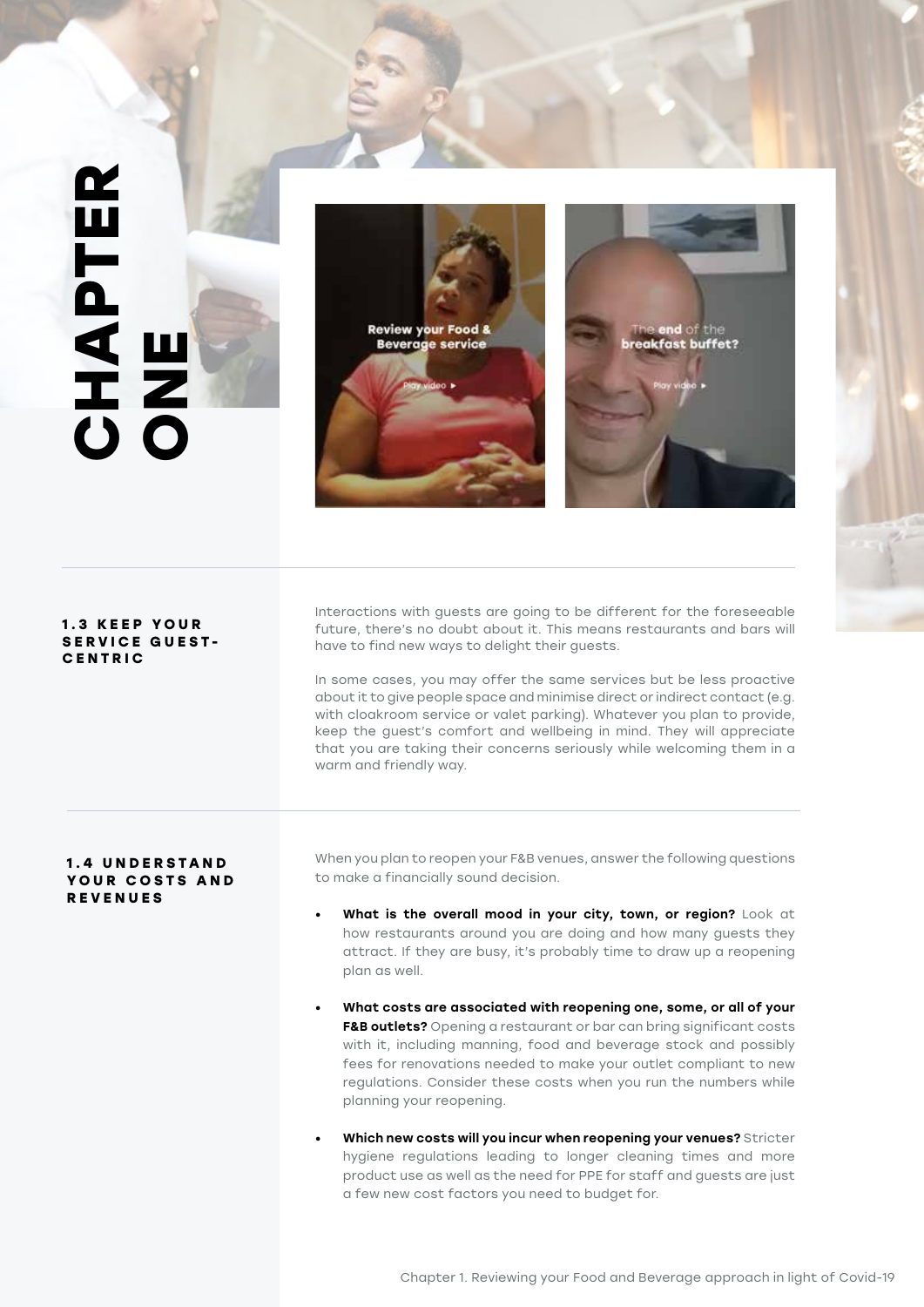### **CHAPTER**   $\mathbf{\underline{\alpha}}$ **CHAPTE Review your Food &** end of the **Beverage service** reakfast buffet? Interactions with guests are going to be different for the foreseeable **1 . 3 K E E P Y O U R**  future, there's no doubt about it. This means restaurants and bars will **SERVICE GUEST**have to find new ways to delight their guests. **CENTRIC** In some cases, you may offer the same services but be less proactive about it to give people space and minimise direct or indirect contact (e.g. with cloakroom service or valet parking). Whatever you plan to provide, keep the guest's comfort and wellbeing in mind. They will appreciate that you are taking their concerns seriously while welcoming them in a warm and friendly way. When you plan to reopen your F&B venues, answer the following questions **1 . 4 U N D E R S TA N D**  to make a financially sound decision. YOUR COSTS AND **REVENUES**What is the overall mood in your city, town, or region? Look at how restaurants around you are doing and how many guests they

plan as well.

• What costs are associated with reopening one, some, or all of your F&B outlets? Opening a restaurant or bar can bring significant costs with it, including manning, food and beverage stock and possibly fees for renovations needed to make your outlet compliant to new regulations. Consider these costs when you run the numbers while planning your reopening.

attract. If they are busy, it's probably time to draw up a reopening

Which new costs will you incur when reopening your venues? Stricter hygiene regulations leading to longer cleaning times and more product use as well as the need for PPE for staff and guests are just a few new cost factors you need to budget for.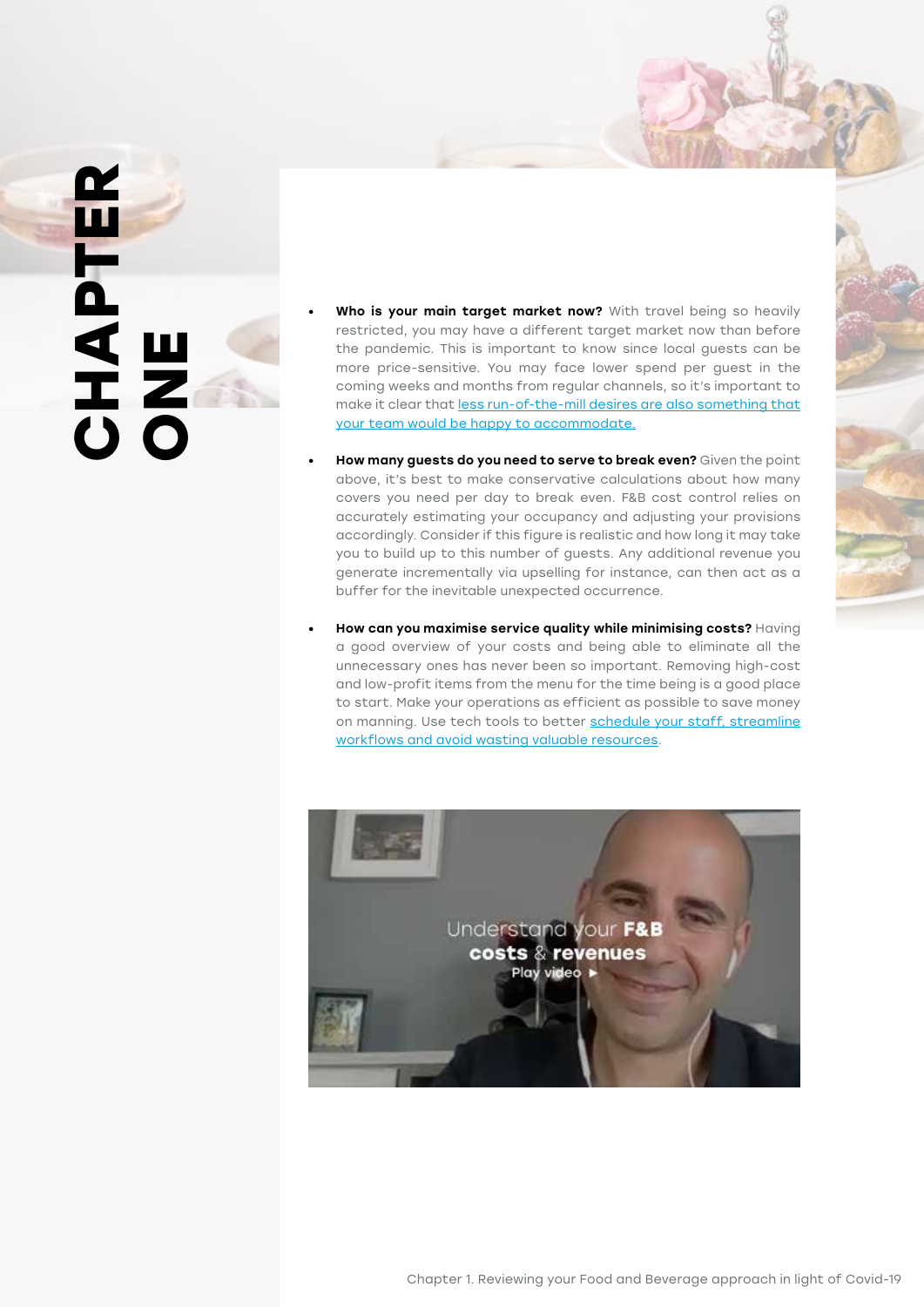# **CHAPTER CHAPTER**

- Who is your main target market now? With travel being so heavily restricted, you may have a different target market now than before the pandemic. This is important to know since local guests can be more price-sensitive. You may face lower spend per guest in the coming weeks and months from regular channels, so it's important to make it clear that [less run-of-the-mill desires are also something that](https://www.oaky.com/free-download-post-covid-upselling-suggestions)  [your team would be happy to accommodate.](https://www.oaky.com/free-download-post-covid-upselling-suggestions)
- How many guests do you need to serve to break even? Given the point above, it's best to make conservative calculations about how many covers you need per day to break even. F&B cost control relies on accurately estimating your occupancy and adjusting your provisions accordingly. Consider if this figure is realistic and how long it may take you to build up to this number of guests. Any additional revenue you generate incrementally via upselling for instance, can then act as a buffer for the inevitable unexpected occurrence.
- How can you maximise service quality while minimising costs? Having a good overview of your costs and being able to eliminate all the unnecessary ones has never been so important. Removing high-cost and low-profit items from the menu for the time being is a good place to start. Make your operations as efficient as possible to save money on manning. Use tech tools to better schedule your staff, streamline [workflows and avoid wasting valuable resources](https://www.oaky.com/free-download-infographic-digital-guest-journey).

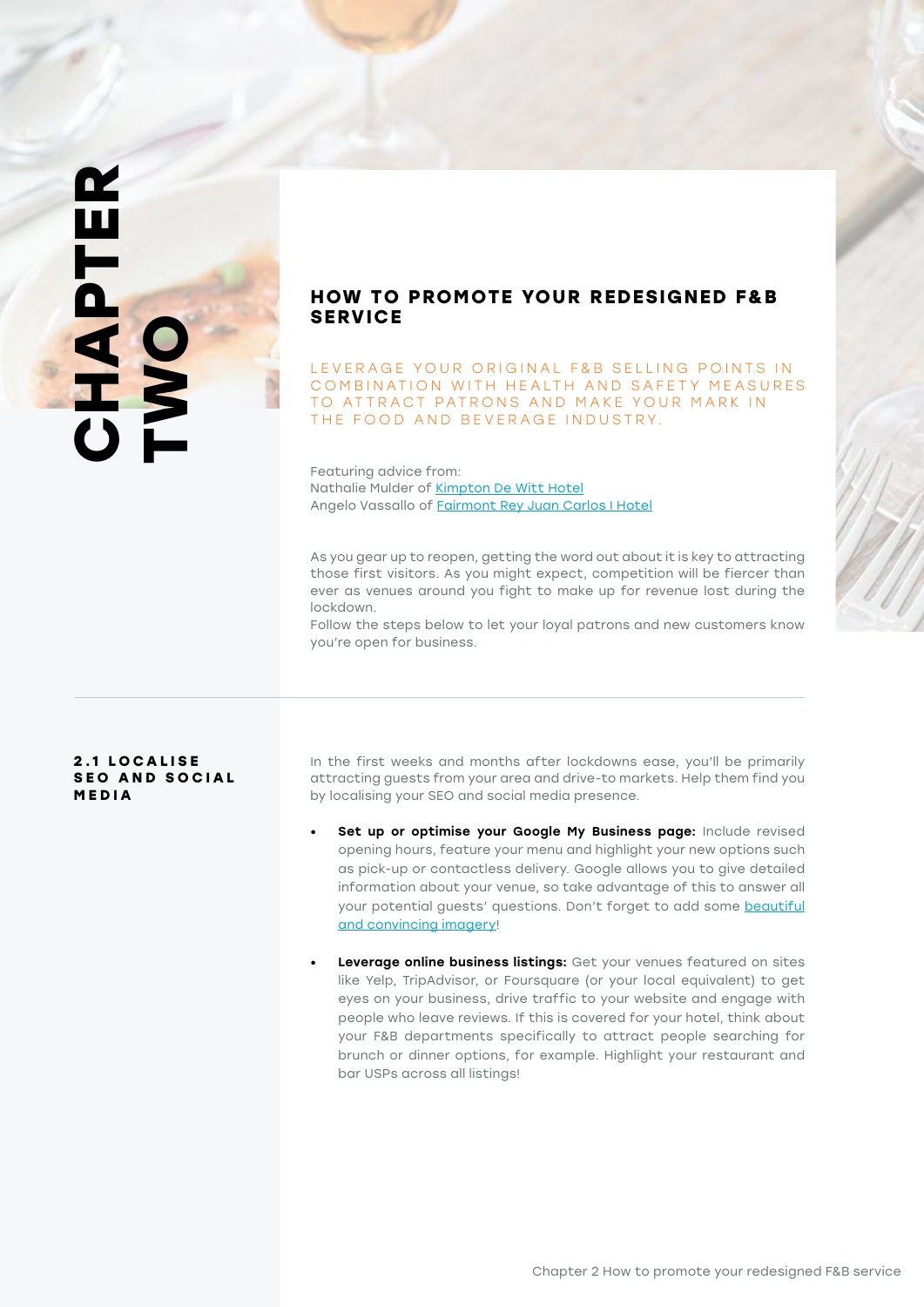### **CHAPTER**  CHAPTER<br>TWO

### **HOW TO PROMOTE YOUR REDESIGNED F&B SERVICE**

LEVERAGE YOUR ORIGINAL F&B SELLING POINTS IN COMBINATION WITH HEALTH AND SAFETY MEASURES TO ATTRACT PATRONS AND MAKE YOUR MARK IN THE FOOD AND BEVERAGE INDUSTRY.

Featuring advice from: Nathalie Mulder of [Kimpton De Witt Hotel](https://www.kimptondewitthotel.com/us/en/index.html) Angelo Vassallo of [Fairmont Rey Juan Carlos I Hotel](https://www.fairmont.com/barcelona/)

As you gear up to reopen, getting the word out about it is key to attracting those first visitors. As you might expect, competition will be fiercer than ever as venues around you fight to make up for revenue lost during the lockdown.

Follow the steps below to let your loyal patrons and new customers know you're open for business.

### **2 . 1 L O C A L I S E SEO AND SOCIAL MEDIA**

In the first weeks and months after lockdowns ease, you'll be primarily attracting guests from your area and drive-to markets. Help them find you by localising your SEO and social media presence.

- Set up or optimise your Google My Business page: Include revised opening hours, feature your menu and highlight your new options such as pick-up or contactless delivery. Google allows you to give detailed information about your venue, so take advantage of this to answer all your potential guests' questions. Don't forget to add some beautiful [and convincing imagery!](https://www.oaky.com/image-gallery-checklist)
- **Leverage online business listings:** Get your venues featured on sites like Yelp, TripAdvisor, or Foursquare (or your local equivalent) to get eyes on your business, drive traffic to your website and engage with people who leave reviews. If this is covered for your hotel, think about your F&B departments specifically to attract people searching for brunch or dinner options, for example. Highlight your restaurant and bar USPs across all listings!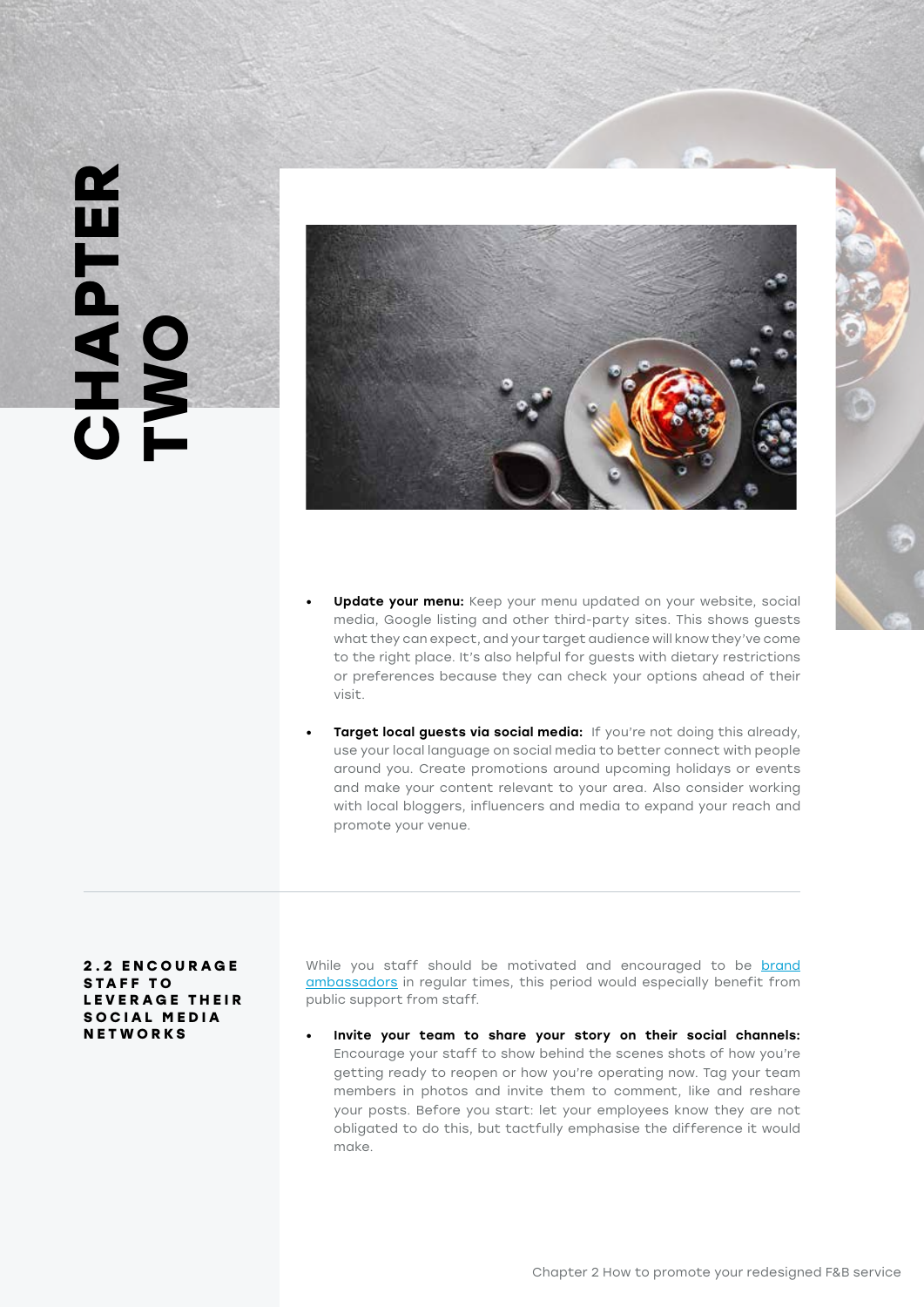# **CHAPTER**  CHAPTER<br>TWO



- Update your menu: Keep your menu updated on your website, social media, Google listing and other third-party sites. This shows guests what they can expect, and your target audience will know they've come to the right place. It's also helpful for guests with dietary restrictions or preferences because they can check your options ahead of their visit.
- Target local guests via social media: If you're not doing this already, use your local language on social media to better connect with people around you. Create promotions around upcoming holidays or events and make your content relevant to your area. Also consider working with local bloggers, influencers and media to expand your reach and promote your venue.

### **2 . 2 E N C O U R A G E**  STAFF TO **L E V E R A G E T H E I R**  SOCIAL MEDIA **NETWORKS**

While you staff should be motivated and encouraged to be brand [ambassadors](https://www.oaky.com/blog/covid-strategy-series-hotel-marketing-and-customer-engagement-1) in regular times, this period would especially benefit from public support from staff.

• Invite your team to share your story on their social channels: Encourage your staff to show behind the scenes shots of how you're getting ready to reopen or how you're operating now. Tag your team members in photos and invite them to comment, like and reshare your posts. Before you start: let your employees know they are not obligated to do this, but tactfully emphasise the difference it would make.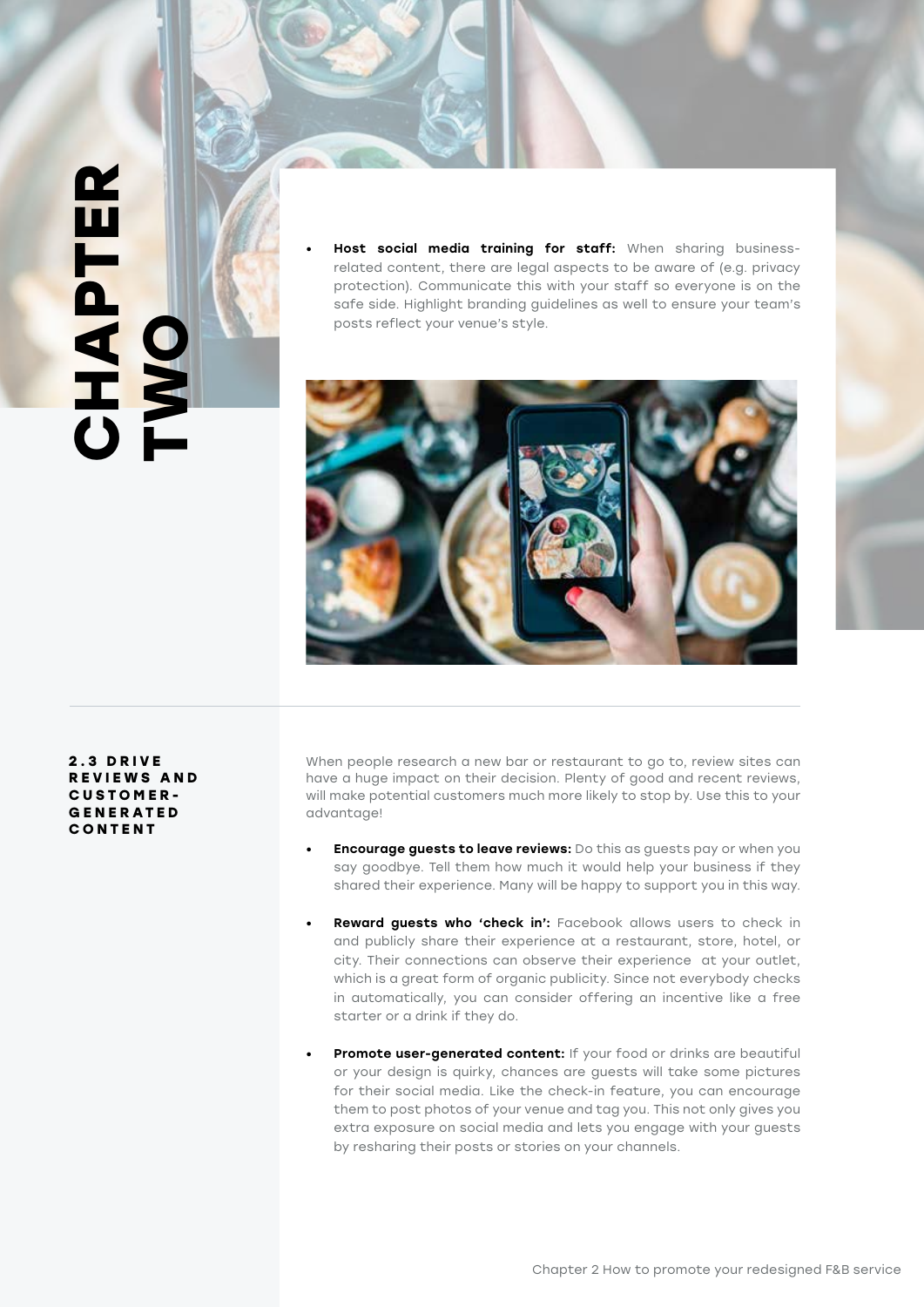**CHAPTER CHAPTER** 

Host social media training for staff: When sharing businessrelated content, there are legal aspects to be aware of (e.g. privacy protection). Communicate this with your staff so everyone is on the safe side. Highlight branding guidelines as well to ensure your team's posts reflect your venue's style.



**2 . 3 D R I V E R E V I E W S A N D CUSTOMER-G E N E R AT E D CONTENT**

When people research a new bar or restaurant to go to, review sites can have a huge impact on their decision. Plenty of good and recent reviews, will make potential customers much more likely to stop by. Use this to your advantage!

- **Encourage guests to leave reviews:** Do this as guests pay or when you say goodbye. Tell them how much it would help your business if they shared their experience. Many will be happy to support you in this way.
- Reward guests who 'check in': Facebook allows users to check in and publicly share their experience at a restaurant, store, hotel, or city. Their connections can observe their experience at your outlet, which is a great form of organic publicity. Since not everybody checks in automatically, you can consider offering an incentive like a free starter or a drink if they do.
- Promote user-generated content: If your food or drinks are beautiful or your design is quirky, chances are guests will take some pictures for their social media. Like the check-in feature, you can encourage them to post photos of your venue and tag you. This not only gives you extra exposure on social media and lets you engage with your guests by resharing their posts or stories on your channels.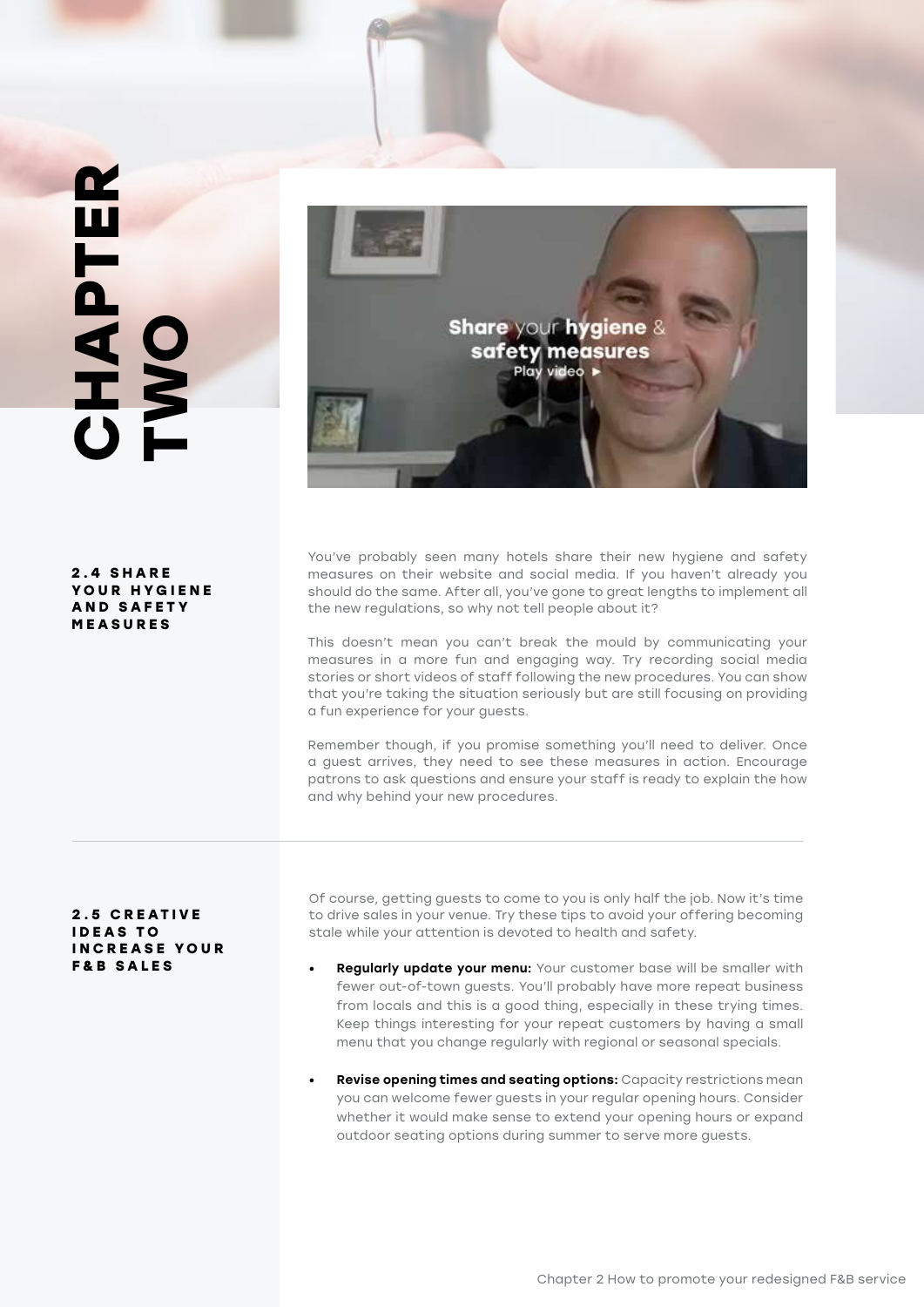## **CHAPTER**  CHAPTER<br>TWO

**2 . 4 S H A R E Y O U R H Y G I E N E A N D S A F E T Y MEASURES**

**Share your hygiene &** safety measures Play video

You've probably seen many hotels share their new hygiene and safety measures on their website and social media. If you haven't already you should do the same. After all, you've gone to great lengths to implement all the new regulations, so why not tell people about it?

This doesn't mean you can't break the mould by communicating your measures in a more fun and engaging way. Try recording social media stories or short videos of staff following the new procedures. You can show that you're taking the situation seriously but are still focusing on providing a fun experience for your guests.

Remember though, if you promise something you'll need to deliver. Once a guest arrives, they need to see these measures in action. Encourage patrons to ask questions and ensure your staff is ready to explain the how and why behind your new procedures.

### **2 . 5 C R E AT I V E I D E A S T O INCREASE YOUR F&B SALES**

Of course, getting guests to come to you is only half the job. Now it's time to drive sales in your venue. Try these tips to avoid your offering becoming stale while your attention is devoted to health and safety.

- Regularly update your menu: Your customer base will be smaller with fewer out-of-town guests. You'll probably have more repeat business from locals and this is a good thing, especially in these trying times. Keep things interesting for your repeat customers by having a small menu that you change regularly with regional or seasonal specials.
- **Revise opening times and seating options:** Capacity restrictions mean you can welcome fewer guests in your regular opening hours. Consider whether it would make sense to extend your opening hours or expand outdoor seating options during summer to serve more guests.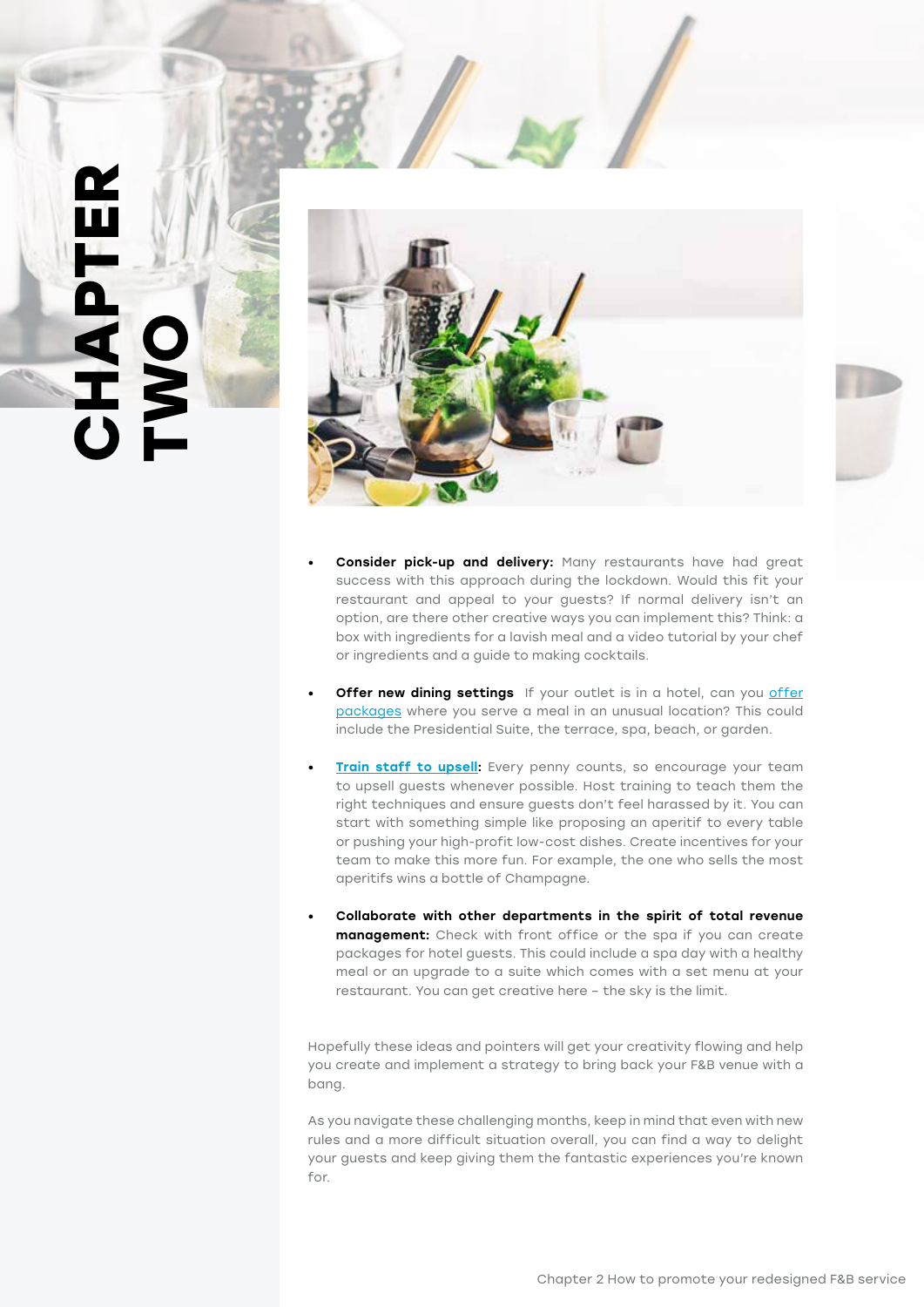### **CHAPTER TWOODS**



- **Consider pick-up and delivery:** Many restaurants have had great success with this approach during the lockdown. Would this fit your restaurant and appeal to your guests? If normal delivery isn't an option, are there other creative ways you can implement this? Think: a box with ingredients for a lavish meal and a video tutorial by your chef or ingredients and a guide to making cocktails.
- **Offer new dining settings** If your outlet is in a hotel, can you offer [packages](https://www.oaky.com/how-a-hotel-upsell-engine-works) where you serve a meal in an unusual location? This could include the Presidential Suite, the terrace, spa, beach, or garden.
- [Train staff to upsell:](https://www.oaky.com/blog/10-easy-ways-to-boost-hotel-guest-experience-and-your-revenue-with-upselling) Every penny counts, so encourage your team to upsell guests whenever possible. Host training to teach them the right techniques and ensure guests don't feel harassed by it. You can start with something simple like proposing an aperitif to every table or pushing your high-profit low-cost dishes. Create incentives for your team to make this more fun. For example, the one who sells the most aperitifs wins a bottle of Champagne.
- Collaborate with other departments in the spirit of total revenue management: Check with front office or the spa if you can create packages for hotel guests. This could include a spa day with a healthy meal or an upgrade to a suite which comes with a set menu at your restaurant. You can get creative here – the sky is the limit.

Hopefully these ideas and pointers will get your creativity flowing and help you create and implement a strategy to bring back your F&B venue with a bang.

As you navigate these challenging months, keep in mind that even with new rules and a more difficult situation overall, you can find a way to delight your guests and keep giving them the fantastic experiences you're known for.